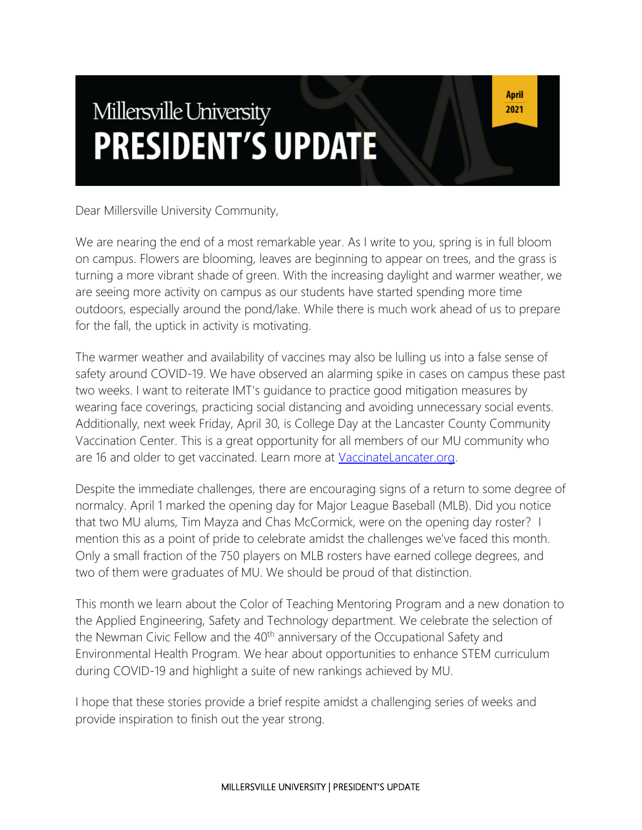# Millersville University **PRESIDENT'S UPDATE**

Dear Millersville University Community,

We are nearing the end of a most remarkable year. As I write to you, spring is in full bloom on campus. Flowers are blooming, leaves are beginning to appear on trees, and the grass is turning a more vibrant shade of green. With the increasing daylight and warmer weather, we are seeing more activity on campus as our students have started spending more time outdoors, especially around the pond/lake. While there is much work ahead of us to prepare for the fall, the uptick in activity is motivating.

The warmer weather and availability of vaccines may also be lulling us into a false sense of safety around COVID-19. We have observed an alarming spike in cases on campus these past two weeks. I want to reiterate IMT's guidance to practice good mitigation measures by wearing face coverings, practicing social distancing and avoiding unnecessary social events. Additionally, next week Friday, April 30, is College Day at the Lancaster County Community Vaccination Center. This is a great opportunity for all members of our MU community who are 16 and older to get vaccinated. Learn more at [VaccinateLancater.org.](https://vaccinatelancaster.org/)

Despite the immediate challenges, there are encouraging signs of a return to some degree of normalcy. April 1 marked the opening day for Major League Baseball (MLB). Did you notice that two MU alums, Tim Mayza and Chas McCormick, were on the opening day roster? I mention this as a point of pride to celebrate amidst the challenges we've faced this month. Only a small fraction of the 750 players on MLB rosters have earned college degrees, and two of them were graduates of MU. We should be proud of that distinction.

This month we learn about the Color of Teaching Mentoring Program and a new donation to the Applied Engineering, Safety and Technology department. We celebrate the selection of the Newman Civic Fellow and the 40<sup>th</sup> anniversary of the Occupational Safety and Environmental Health Program. We hear about opportunities to enhance STEM curriculum during COVID-19 and highlight a suite of new rankings achieved by MU.

I hope that these stories provide a brief respite amidst a challenging series of weeks and provide inspiration to finish out the year strong.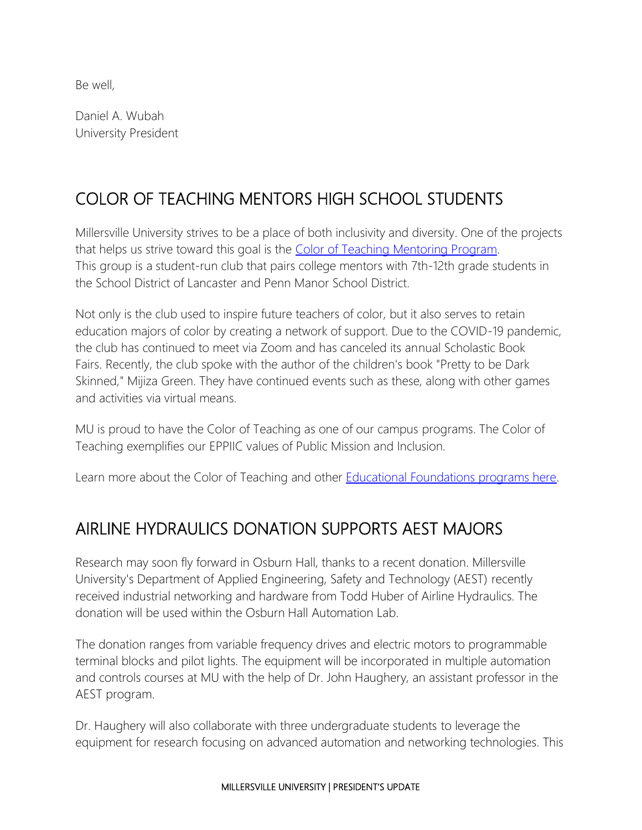Be well,

Daniel A. Wubah University President

# COLOR OF TEACHING MENTORS HIGH SCHOOL STUDENTS

Millersville University strives to be a place of both inclusivity and diversity. One of the projects that helps us strive toward this goal is the [Color of Teaching](https://www.millersville.edu/edfoundations/coloroft/index.php) Mentoring Program. This group is a student-run club that pairs college mentors with 7th-12th grade students in the School District of Lancaster and Penn Manor School District.

Not only is the club used to inspire future teachers of color, but it also serves to retain education majors of color by creating a network of support. Due to the COVID-19 pandemic, the club has continued to meet via Zoom and has canceled its annual Scholastic Book Fairs. Recently, the club spoke with the author of the children's book "Pretty to be Dark Skinned," Mijiza Green. They have continued events such as these, along with other games and activities via virtual means.

MU is proud to have the Color of Teaching as one of our campus programs. The Color of Teaching exemplifies our EPPIIC values of Public Mission and Inclusion.

Learn more about the Color of Teaching and other **[Educational Foundations programs here.](https://www.millersville.edu/edfoundations/index.php)** 

## AIRLINE HYDRAULICS DONATION SUPPORTS AEST MAJORS

Research may soon fly forward in Osburn Hall, thanks to a recent donation. Millersville University's Department of Applied Engineering, Safety and Technology (AEST) recently received industrial networking and hardware from Todd Huber of Airline Hydraulics. The donation will be used within the Osburn Hall Automation Lab.

The donation ranges from variable frequency drives and electric motors to programmable terminal blocks and pilot lights. The equipment will be incorporated in multiple automation and controls courses at MU with the help of Dr. John Haughery, an assistant professor in the AEST program.

Dr. Haughery will also collaborate with three undergraduate students to leverage the equipment for research focusing on advanced automation and networking technologies. This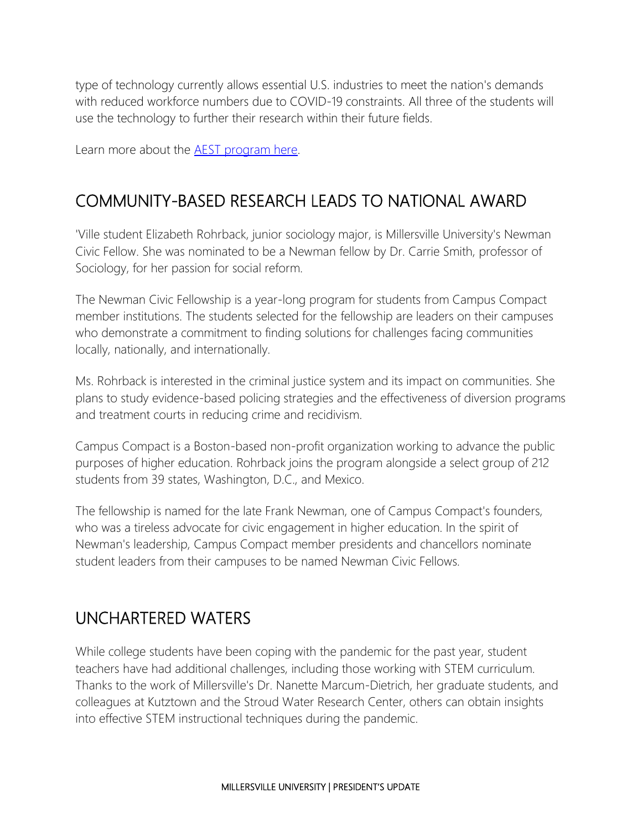type of technology currently allows essential U.S. industries to meet the nation's demands with reduced workforce numbers due to COVID-19 constraints. All three of the students will use the technology to further their research within their future fields.

Learn more about the **AEST** program here.

### COMMUNITY-BASED RESEARCH LEADS TO NATIONAL AWARD

'Ville student Elizabeth Rohrback, junior sociology major, is Millersville University's Newman Civic Fellow. She was nominated to be a Newman fellow by Dr. Carrie Smith, professor of Sociology, for her passion for social reform.

The Newman Civic Fellowship is a year-long program for students from Campus Compact member institutions. The students selected for the fellowship are leaders on their campuses who demonstrate a commitment to finding solutions for challenges facing communities locally, nationally, and internationally.

Ms. Rohrback is interested in the criminal justice system and its impact on communities. She plans to study evidence-based policing strategies and the effectiveness of diversion programs and treatment courts in reducing crime and recidivism.

Campus Compact is a Boston-based non-profit organization working to advance the public purposes of higher education. Rohrback joins the program alongside a select group of 212 students from 39 states, Washington, D.C., and Mexico.

The fellowship is named for the late Frank Newman, one of Campus Compact's founders, who was a tireless advocate for civic engagement in higher education. In the spirit of Newman's leadership, Campus Compact member presidents and chancellors nominate student leaders from their campuses to be named Newman Civic Fellows.

### UNCHARTERED WATERS

While college students have been coping with the pandemic for the past year, student teachers have had additional challenges, including those working with STEM curriculum. Thanks to the work of Millersville's Dr. Nanette Marcum-Dietrich, her graduate students, and colleagues at Kutztown and the Stroud Water Research Center, others can obtain insights into effective STEM instructional techniques during the pandemic.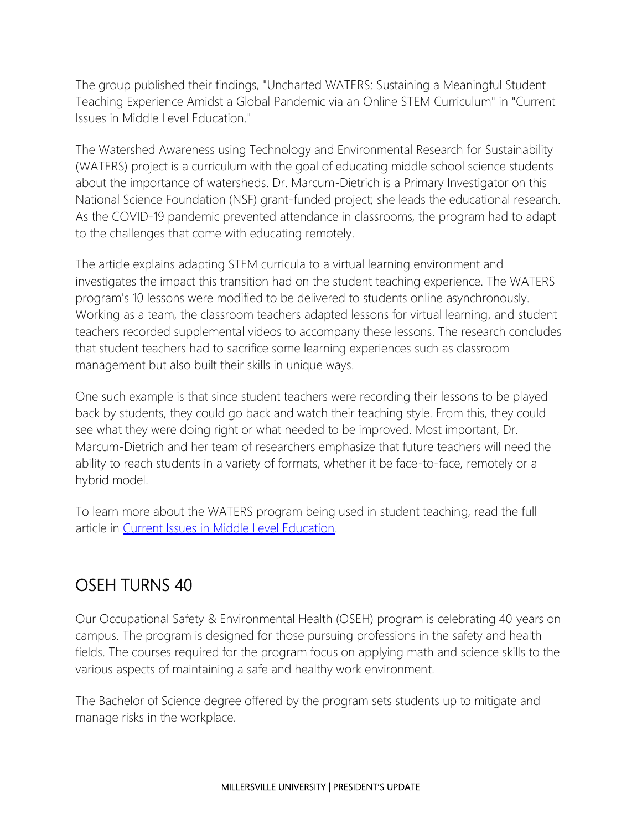The group published their findings, "Uncharted WATERS: Sustaining a Meaningful Student Teaching Experience Amidst a Global Pandemic via an Online STEM Curriculum" in "Current Issues in Middle Level Education."

The Watershed Awareness using Technology and Environmental Research for Sustainability (WATERS) project is a curriculum with the goal of educating middle school science students about the importance of watersheds. Dr. Marcum-Dietrich is a Primary Investigator on this National Science Foundation (NSF) grant-funded project; she leads the educational research. As the COVID-19 pandemic prevented attendance in classrooms, the program had to adapt to the challenges that come with educating remotely.

The article explains adapting STEM curricula to a virtual learning environment and investigates the impact this transition had on the student teaching experience. The WATERS program's 10 lessons were modified to be delivered to students online asynchronously. Working as a team, the classroom teachers adapted lessons for virtual learning, and student teachers recorded supplemental videos to accompany these lessons. The research concludes that student teachers had to sacrifice some learning experiences such as classroom management but also built their skills in unique ways.

One such example is that since student teachers were recording their lessons to be played back by students, they could go back and watch their teaching style. From this, they could see what they were doing right or what needed to be improved. Most important, Dr. Marcum-Dietrich and her team of researchers emphasize that future teachers will need the ability to reach students in a variety of formats, whether it be face-to-face, remotely or a hybrid model.

To learn more about the WATERS program being used in student teaching, read the full article in [Current Issues in Middle Level Education.](https://digitalcommons.georgiasouthern.edu/cimle/vol25/iss2/3/)

# OSEH TURNS 40

Our Occupational Safety & Environmental Health (OSEH) program is celebrating 40 years on campus. The program is designed for those pursuing professions in the safety and health fields. The courses required for the program focus on applying math and science skills to the various aspects of maintaining a safe and healthy work environment.

The Bachelor of Science degree offered by the program sets students up to mitigate and manage risks in the workplace.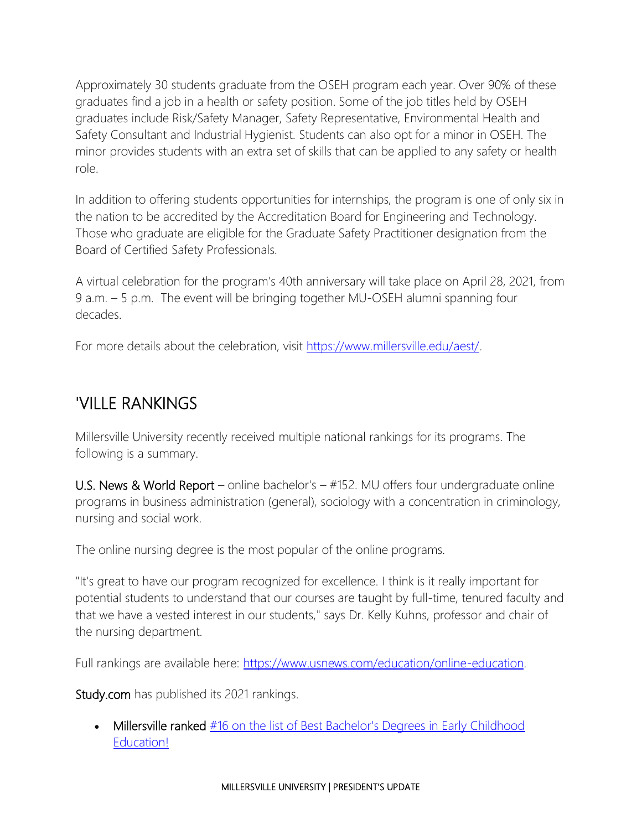Approximately 30 students graduate from the OSEH program each year. Over 90% of these graduates find a job in a health or safety position. Some of the job titles held by OSEH graduates include Risk/Safety Manager, Safety Representative, Environmental Health and Safety Consultant and Industrial Hygienist. Students can also opt for a minor in OSEH. The minor provides students with an extra set of skills that can be applied to any safety or health role.

In addition to offering students opportunities for internships, the program is one of only six in the nation to be accredited by the Accreditation Board for Engineering and Technology. Those who graduate are eligible for the Graduate Safety Practitioner designation from the Board of Certified Safety Professionals.

A virtual celebration for the program's 40th anniversary will take place on April 28, 2021, from 9 a.m. – 5 p.m. The event will be bringing together MU-OSEH alumni spanning four decades.

For more details about the celebration, visit [https://www.millersville.edu/aest/.](https://www.millersville.edu/aest/)

## 'VILLE RANKINGS

Millersville University recently received multiple national rankings for its programs. The following is a summary.

U.S. News & World Report – online bachelor's – #152. MU offers four undergraduate online programs in business administration (general), sociology with a concentration in criminology, nursing and social work.

The online nursing degree is the most popular of the online programs.

"It's great to have our program recognized for excellence. I think is it really important for potential students to understand that our courses are taught by full-time, tenured faculty and that we have a vested interest in our students," says Dr. Kelly Kuhns, professor and chair of the nursing department.

Full rankings are available here: [https://www.usnews.com/education/online-education.](https://www.usnews.com/education/online-education)

Study.com has published its 2021 rankings.

Millersville ranked #16 on the list of Best Bachelor's Degrees in Early Childhood [Education!](http://tx.bz-mail-us1.com/1/l/b37cc380664f4db9954921fb8488dfa9?rl=https%3A%2F%2Fstudy.com%2Fdegrees%2Fbachelors-degrees-in-early-childhood-education.html)

#### MILLERSVILLE UNIVERSITY | PRESIDENT'S UPDATE